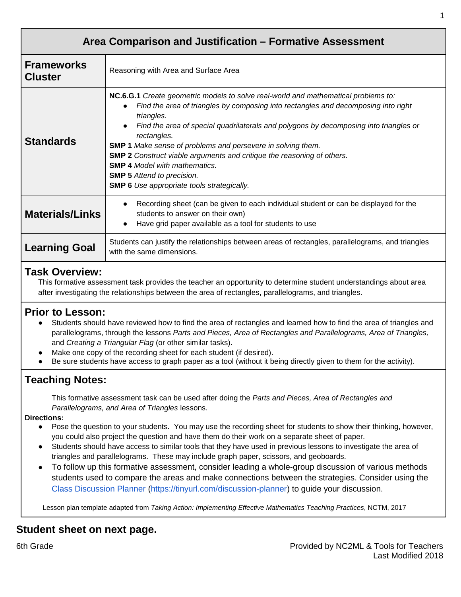| Area Comparison and Justification - Formative Assessment |                                                                                                                                                                                                                                                                                                                                                                                                                                                                                                                                                                                         |
|----------------------------------------------------------|-----------------------------------------------------------------------------------------------------------------------------------------------------------------------------------------------------------------------------------------------------------------------------------------------------------------------------------------------------------------------------------------------------------------------------------------------------------------------------------------------------------------------------------------------------------------------------------------|
| <b>Frameworks</b><br><b>Cluster</b>                      | Reasoning with Area and Surface Area                                                                                                                                                                                                                                                                                                                                                                                                                                                                                                                                                    |
| <b>Standards</b>                                         | NC.6.G.1 Create geometric models to solve real-world and mathematical problems to:<br>Find the area of triangles by composing into rectangles and decomposing into right<br>triangles.<br>Find the area of special quadrilaterals and polygons by decomposing into triangles or<br>rectangles.<br><b>SMP 1</b> Make sense of problems and persevere in solving them.<br><b>SMP 2</b> Construct viable arguments and critique the reasoning of others.<br><b>SMP 4 Model with mathematics.</b><br><b>SMP 5</b> Attend to precision.<br><b>SMP 6</b> Use appropriate tools strategically. |
| <b>Materials/Links</b>                                   | Recording sheet (can be given to each individual student or can be displayed for the<br>students to answer on their own)<br>Have grid paper available as a tool for students to use                                                                                                                                                                                                                                                                                                                                                                                                     |
| <b>Learning Goal</b>                                     | Students can justify the relationships between areas of rectangles, parallelograms, and triangles<br>with the same dimensions.                                                                                                                                                                                                                                                                                                                                                                                                                                                          |

## **Task Overview:**

This formative assessment task provides the teacher an opportunity to determine student understandings about area after investigating the relationships between the area of rectangles, parallelograms, and triangles.

## **Prior to Lesson:**

- Students should have reviewed how to find the area of rectangles and learned how to find the area of triangles and parallelograms, through the lessons *Parts and Pieces, Area of Rectangles and Parallelograms, Area of Triangles,*  and *Creating a Triangular Flag* (or other similar tasks).
- Make one copy of the recording sheet for each student (if desired).
- Be sure students have access to graph paper as a tool (without it being directly given to them for the activity).

# **Teaching Notes:**

This formative assessment task can be used after doing the *Parts and Pieces, Area of Rectangles and Parallelograms, and Area of Triangles* lessons.

## **Directions:**

- Pose the question to your students. You may use the recording sheet for students to show their thinking, however, you could also project the question and have them do their work on a separate sheet of paper.
- Students should have access to similar tools that they have used in previous lessons to investigate the area of triangles and parallelograms. These may include graph paper, scissors, and geoboards.
- To follow up this formative assessment, consider leading a whole-group discussion of various methods students used to compare the areas and make connections between the strategies. Consider using the [Class Discussion Planner](https://docs.google.com/document/d/1qKEV0p1zLhppNpwhYp3WqdkUw_ApvGdycuvLbvSLKEw/edit?usp=sharing) [\(https://tinyurl.com/discussion-planner\)](https://tinyurl.com/discussion-planner) to guide your discussion.

Lesson plan template adapted from *Taking Action: Implementing Effective Mathematics Teaching Practices*, NCTM, 2017

# **Student sheet on next page.**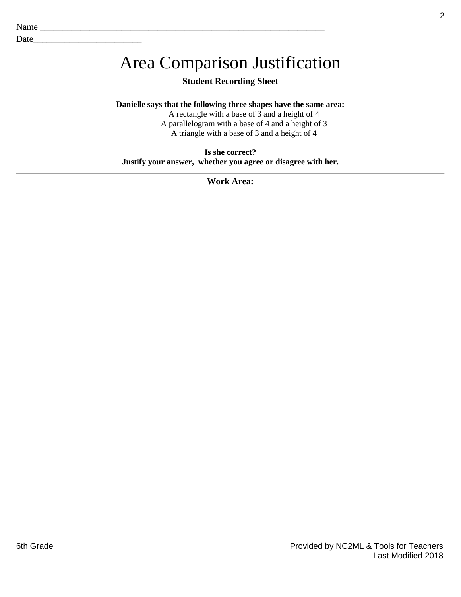Date\_\_\_\_\_\_\_\_\_\_\_\_\_\_\_\_\_\_\_\_\_\_\_\_

# Area Comparison Justification

## **Student Recording Sheet**

### **Danielle says that the following three shapes have the same area:**

A rectangle with a base of 3 and a height of 4 A parallelogram with a base of 4 and a height of 3 A triangle with a base of 3 and a height of 4

**Is she correct? Justify your answer, whether you agree or disagree with her.**

**Work Area:**